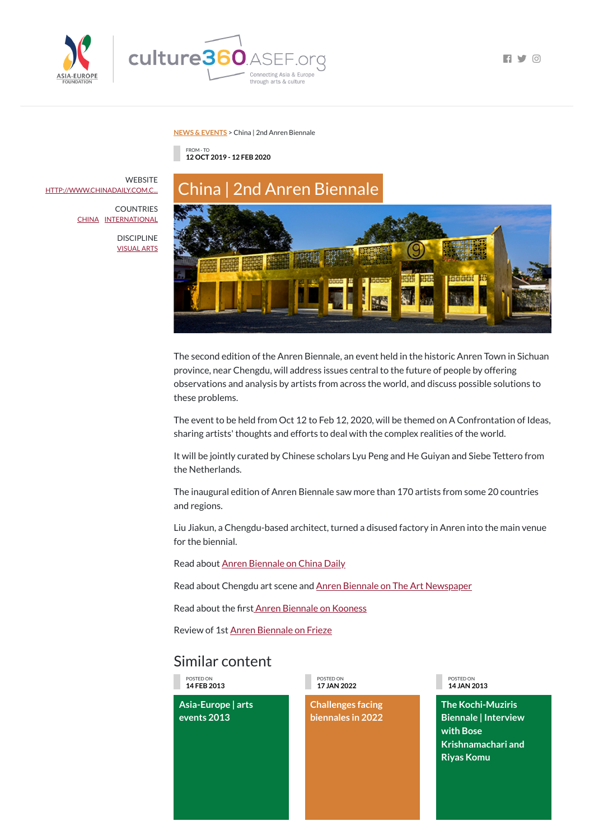



 $\Box$   $\Box$   $\Box$ 

**NEWS & [EVENTS](https://culture360.asef.org/news-events/)** > China | 2nd Anren Biennale

## Similar content

FROM - TO **12 OCT 2019 - 12 FEB 2020**



The second edition of the Anren Biennale, an event held in the historic Anren Town in Sichuan province, near Chengdu, will address issues central to the future of people by offering observations and analysis by artists from across the world, and discuss possible solutions to these problems.

The event to be held from Oct 12 to Feb 12, 2020, will be themed on A Confrontation of Ideas, sharing artists' thoughts and efforts to deal with the complex realities of the world.

It will be jointly curated by Chinese scholars Lyu Peng and He Guiyan and Siebe Tettero from the Netherlands.

**WEBSITE** [HTTP://WWW.CHINADAILY.COM.C...](http://www.chinadaily.com.cn/a/201906/11/WS5cff4af9a310176577230869.html)

> The inaugural edition of Anren Biennale saw more than 170 artists from some 20 countries and regions.

Liu Jiakun, a Chengdu-based architect, turned a disused factory in Anren into the main venue for the biennial.

Read about Anren [Biennale](http://www.chinadaily.com.cn/a/201906/11/WS5cff4af9a310176577230869.html) on China Daily

Read about Chengdu art scene and Anren Biennale on The Art [Newspaper](https://www.kooness.com/posts/magazine/contemporary-art-migrates-to-the-east-the-recent-history-of-the-chinese-contemporary-art-market)

Read about the first Anren [Biennale](https://www.kooness.com/posts/magazine/contemporary-art-migrates-to-the-east-the-recent-history-of-the-chinese-contemporary-art-market) on Kooness

Review of 1st Anren [Biennale](https://frieze.com/article/fake-it-till-you-make-it-look-inside-1st-anren-biennale) on Frieze

POSTED ON **14 FEB 2013**

**Asia-Europe | arts events 2013**

POSTED ON **17 JAN 2022**

**Challenges facing biennales in 2022**

POSTED ON **14 JAN 2013**

**The Kochi-Muziris Biennale | Interview with Bose Krishnamachari and Riyas Komu**

COUNTRIES [CHINA](https://culture360.asef.org/countries/china/) [INTERNATIONAL](https://culture360.asef.org/countries/international/)

> DISCIPLINE [VISUAL](https://culture360.asef.org/disciplines/visual-arts/) ARTS